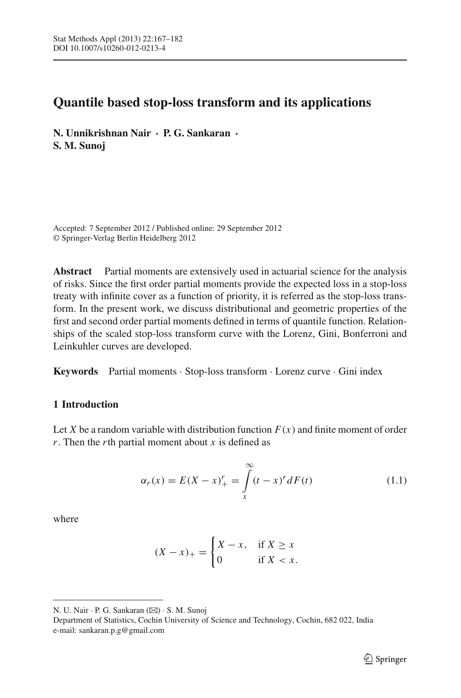# **Quantile based stop-loss transform and its applications**

**N. Unnikrishnan Nair · P. G. Sankaran · S. M. Sunoj**

Accepted: 7 September 2012 / Published online: 29 September 2012 © Springer-Verlag Berlin Heidelberg 2012

**Abstract** Partial moments are extensively used in actuarial science for the analysis of risks. Since the first order partial moments provide the expected loss in a stop-loss treaty with infinite cover as a function of priority, it is referred as the stop-loss transform. In the present work, we discuss distributional and geometric properties of the first and second order partial moments defined in terms of quantile function. Relationships of the scaled stop-loss transform curve with the Lorenz, Gini, Bonferroni and Leinkuhler curves are developed.

**Keywords** Partial moments · Stop-loss transform · Lorenz curve · Gini index

# **1 Introduction**

Let *X* be a random variable with distribution function  $F(x)$  and finite moment of order *r*. Then the *r*th partial moment about *x* is defined as

$$
\alpha_r(x) = E(X - x)_+^r = \int\limits_x^\infty (t - x)^r dF(t) \tag{1.1}
$$

<span id="page-0-0"></span>where

$$
(X - x)_+ = \begin{cases} X - x, & \text{if } X \ge x \\ 0 & \text{if } X < x. \end{cases}
$$

N. U. Nair · P. G. Sankaran (⊠) · S. M. Sunoj

Department of Statistics, Cochin University of Science and Technology, Cochin, 682 022, India e-mail: sankaran.p.g@gmail.com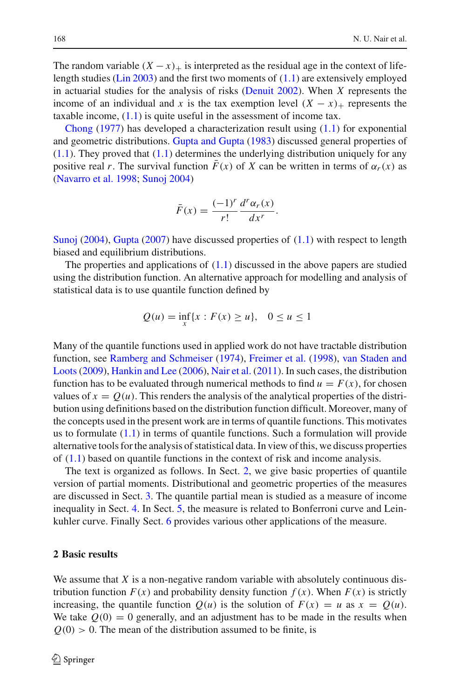The random variable  $(X - x)$  is interpreted as the residual age in the context of life-length studies [\(Lin 2003\)](#page-15-0) and the first two moments of  $(1.1)$  are extensively employed in actuarial studies for the analysis of risks [\(Denuit 2002](#page-14-0)). When *X* represents the income of an individual and *x* is the tax exemption level  $(X - x)$  represents the [taxable](#page-14-1) [in](#page-14-1)come,  $(1.1)$  is quite useful in the assessment of income tax.

Chong  $(1977)$  has developed a characterization result using  $(1.1)$  for exponential and geometric distributions. [Gupta and Gupta](#page-15-1) [\(1983\)](#page-15-1) discussed general properties of  $(1.1)$ . They proved that  $(1.1)$  determines the underlying distribution uniquely for any positive real *r*. The survival function  $\bar{F}(x)$  of *X* can be written in terms of  $\alpha_r(x)$  as [\(Navarro et al. 1998](#page-15-2); [Sunoj 2004](#page-15-3))

$$
\bar{F}(x) = \frac{(-1)^r}{r!} \frac{d^r \alpha_r(x)}{dx^r}.
$$

[Sunoj](#page-15-3) [\(2004\)](#page-15-3), [Gupta](#page-15-4) [\(2007](#page-15-4)) have discussed properties of [\(1.1\)](#page-0-0) with respect to length biased and equilibrium distributions.

The properties and applications of [\(1.1\)](#page-0-0) discussed in the above papers are studied using the distribution function. An alternative approach for modelling and analysis of statistical data is to use quantile function defined by

$$
Q(u) = \inf_{x} \{x : F(x) \ge u\}, \quad 0 \le u \le 1
$$

Many of the quantile functions used in applied work do not have tractable distribution function, see [Ramberg and Schmeiser](#page-15-5) [\(1974\)](#page-15-5), [Freimer et al.](#page-14-2) [\(1998\)](#page-14-2), van Staden and Loots[\(2009\)](#page-15-6), [Hankin and Lee](#page-15-7) [\(2006\)](#page-15-7), [Nair et al.](#page-15-8) [\(2011\)](#page-15-8). In such cases, the distribution function has to be evaluated through numerical methods to find  $u = F(x)$ , for chosen values of  $x = Q(u)$ . This renders the analysis of the analytical properties of the distribution using definitions based on the distribution function difficult. Moreover, many of the concepts used in the present work are in terms of quantile functions. This motivates us to formulate  $(1.1)$  in terms of quantile functions. Such a formulation will provide alternative tools for the analysis of statistical data. In view of this, we discuss properties of  $(1.1)$  based on quantile functions in the context of risk and income analysis.

The text is organized as follows. In Sect. [2,](#page-1-0) we give basic properties of quantile version of partial moments. Distributional and geometric properties of the measures are discussed in Sect. [3.](#page-4-0) The quantile partial mean is studied as a measure of income inequality in Sect. [4.](#page-6-0) In Sect. [5,](#page-10-0) the measure is related to Bonferroni curve and Leinkuhler curve. Finally Sect. [6](#page-13-0) provides various other applications of the measure.

## <span id="page-1-0"></span>**2 Basic results**

We assume that *X* is a non-negative random variable with absolutely continuous distribution function  $F(x)$  and probability density function  $f(x)$ . When  $F(x)$  is strictly increasing, the quantile function  $Q(u)$  is the solution of  $F(x) = u$  as  $x = Q(u)$ . We take  $Q(0) = 0$  generally, and an adjustment has to be made in the results when  $Q(0) > 0$ . The mean of the distribution assumed to be finite, is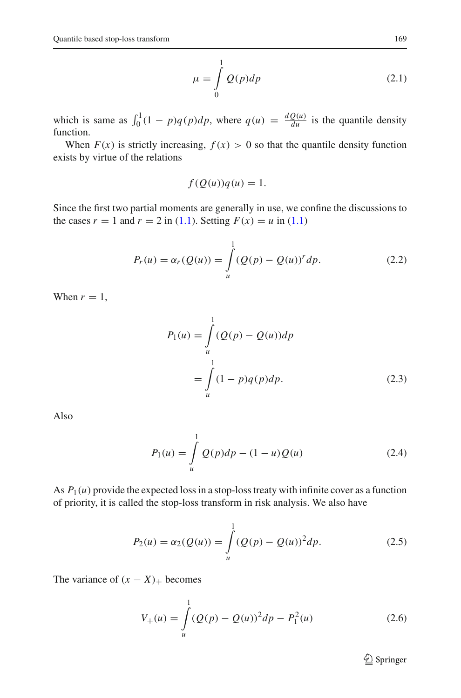$$
\mu = \int_{0}^{1} Q(p) dp \tag{2.1}
$$

which is same as  $\int_0^1 (1 - p)q(p)dp$ , where  $q(u) = \frac{dQ(u)}{du}$  is the quantile density function.

When  $F(x)$  is strictly increasing,  $f(x) > 0$  so that the quantile density function exists by virtue of the relations

$$
f(Q(u))q(u) = 1.
$$

Since the first two partial moments are generally in use, we confine the discussions to the cases  $r = 1$  and  $r = 2$  in [\(1.1\)](#page-0-0). Setting  $F(x) = u$  in (1.1)

$$
P_r(u) = \alpha_r(Q(u)) = \int_{u}^{1} (Q(p) - Q(u))^r dp.
$$
 (2.2)

When  $r = 1$ ,

$$
P_1(u) = \int_{u}^{1} (Q(p) - Q(u))dp
$$
  
= 
$$
\int_{u}^{1} (1 - p)q(p)dp.
$$
 (2.3)

<span id="page-2-0"></span>Also

$$
P_1(u) = \int_{u}^{1} Q(p)dp - (1 - u)Q(u)
$$
 (2.4)

As  $P_1(u)$  provide the expected loss in a stop-loss treaty with infinite cover as a function of priority, it is called the stop-loss transform in risk analysis. We also have

$$
P_2(u) = \alpha_2(Q(u)) = \int_u^1 (Q(p) - Q(u))^2 dp.
$$
 (2.5)

The variance of  $(x - X)$ + becomes

$$
V_{+}(u) = \int_{u}^{1} (Q(p) - Q(u))^{2} dp - P_{1}^{2}(u)
$$
\n(2.6)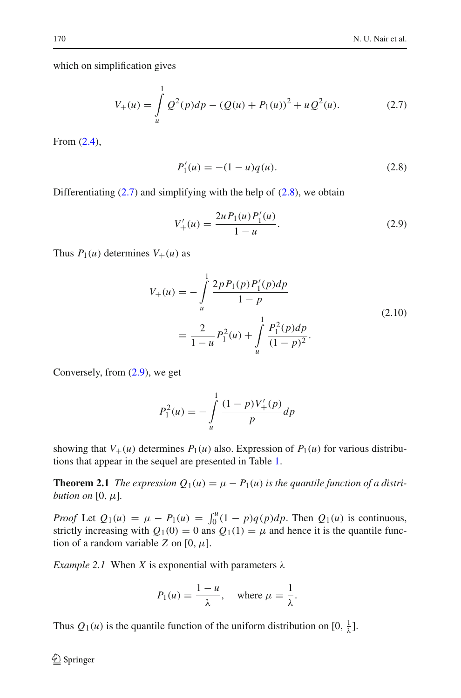<span id="page-3-0"></span>which on simplification gives

$$
V_{+}(u) = \int_{u}^{1} Q^{2}(p)dp - (Q(u) + P_{1}(u))^{2} + uQ^{2}(u).
$$
 (2.7)

<span id="page-3-1"></span>From [\(2.4\)](#page-2-0),

$$
P_1'(u) = -(1 - u)q(u).
$$
 (2.8)

<span id="page-3-2"></span>Differentiating  $(2.7)$  and simplifying with the help of  $(2.8)$ , we obtain

$$
V'_{+}(u) = \frac{2u P_1(u) P'_1(u)}{1 - u}.
$$
\n(2.9)

Thus  $P_1(u)$  determines  $V_+(u)$  as

$$
V_{+}(u) = -\int_{u}^{1} \frac{2p P_{1}(p) P_{1}'(p) dp}{1 - p}
$$
  
= 
$$
\frac{2}{1 - u} P_{1}^{2}(u) + \int_{u}^{1} \frac{P_{1}^{2}(p) dp}{(1 - p)^{2}}.
$$
 (2.10)

Conversely, from [\(2.9\)](#page-3-2), we get

$$
P_1^2(u) = -\int_u^1 \frac{(1-p)V'_+(p)}{p} dp
$$

showing that  $V_+(u)$  determines  $P_1(u)$  also. Expression of  $P_1(u)$  for various distributions that appear in the sequel are presented in Table [1.](#page-4-1)

**Theorem 2.1** *The expression*  $Q_1(u) = \mu - P_1(u)$  *is the quantile function of a distribution on*  $[0, \mu]$ *.* 

*Proof* Let  $Q_1(u) = \mu - P_1(u) = \int_0^u (1 - p)q(p) dp$ . Then  $Q_1(u)$  is continuous, strictly increasing with  $Q_1(0) = 0$  ans  $Q_1(1) = \mu$  and hence it is the quantile function of a random variable *Z* on  $[0, \mu]$ .

*Example 2.1* When *X* is exponential with parameters  $\lambda$ 

$$
P_1(u) = \frac{1-u}{\lambda}, \quad \text{where } \mu = \frac{1}{\lambda}.
$$

Thus  $Q_1(u)$  is the quantile function of the uniform distribution on  $[0, \frac{1}{\lambda}]$ .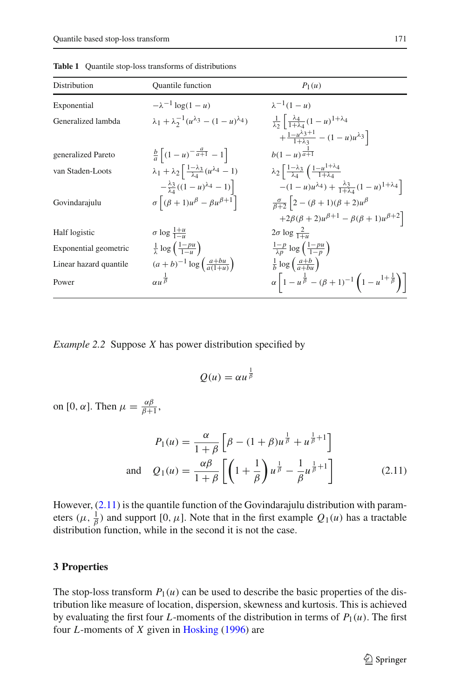<span id="page-4-1"></span>

| Distribution           | <b>Ouantile</b> function                                                                 | $P_1(u)$                                                                                                |
|------------------------|------------------------------------------------------------------------------------------|---------------------------------------------------------------------------------------------------------|
| Exponential            | $-\lambda^{-1} \log(1-u)$                                                                | $\lambda^{-1}(1-u)$                                                                                     |
| Generalized lambda     | $\lambda_1 + \lambda_2^{-1} (u^{\lambda_3} - (1 - u)^{\lambda_4})$                       | $\frac{1}{\lambda_2} \left  \frac{\lambda_4}{1 + \lambda_4} (1 - u)^{1 + \lambda_4} \right $            |
|                        |                                                                                          | $+\frac{1-u^{\lambda_3+1}}{1+\lambda_3}-(1-u)u^{\lambda_3}$                                             |
| generalized Pareto     | $\frac{b}{a}\left[ (1-u)^{-\frac{u}{a+1}} - 1 \right]$                                   | $b(1-u)^{\frac{1}{a+1}}$                                                                                |
| van Staden-Loots       | $\lambda_1 + \lambda_2 \left( \frac{1-\lambda_3}{\lambda_4} (u^{\lambda_4} - 1) \right)$ | $\lambda_2\left[\frac{1-\lambda_3}{\lambda_4}\left(\frac{1-u^{1+\lambda_4}}{1+\lambda_4}\right)\right]$ |
|                        | $-\frac{\lambda_3}{\lambda_4}((1-u)^{\lambda_4}-1)$                                      | $-(1-u)u^{\lambda_4}$ + $\frac{\lambda_3}{1+\lambda_4}(1-u)^{1+\lambda_4}$                              |
| Govindarajulu          | $\sigma\left[(\beta+1)u^{\beta} - \beta u^{\beta+1}\right]$                              | $\frac{\sigma}{\beta+2}$ 2 – $(\beta+1)(\beta+2)u^{\beta}$                                              |
|                        |                                                                                          | $+2\beta(\beta+2)u^{\beta+1}-\beta(\beta+1)u^{\beta+2}$                                                 |
| Half logistic          | $\sigma \log \frac{1+u}{1-u}$                                                            | $2\sigma \log \frac{2}{1+u}$                                                                            |
| Exponential geometric  | $rac{1}{\lambda} \log \left( \frac{1 - p u}{1 - u} \right)$                              | $\frac{1-p}{\lambda p} \log \left( \frac{1-pu}{1-p} \right)$                                            |
| Linear hazard quantile | $(a + b)^{-1} \log \left( \frac{a + bu}{a(1 + u)} \right)$                               | $\frac{1}{b} \log \left( \frac{a+b}{a+bu} \right)$                                                      |
| Power                  | $\alpha u^{\frac{1}{\beta}}$                                                             | $\alpha \left[1-u^{\frac{1}{\beta}}-(\beta+1)^{-1}\left(1-u^{1+\frac{1}{\beta}}\right)\right]$          |

**Table 1** Quantile stop-loss transforms of distributions

*Example 2.2* Suppose *X* has power distribution specified by

<span id="page-4-2"></span>
$$
Q(u) = \alpha u^{\frac{1}{\beta}}
$$

on [0,  $\alpha$ ]. Then  $\mu = \frac{\alpha \beta}{\beta + 1}$ ,

$$
P_1(u) = \frac{\alpha}{1+\beta} \left[ \beta - (1+\beta)u^{\frac{1}{\beta}} + u^{\frac{1}{\beta}+1} \right]
$$
  
and 
$$
Q_1(u) = \frac{\alpha\beta}{1+\beta} \left[ \left( 1 + \frac{1}{\beta} \right) u^{\frac{1}{\beta}} - \frac{1}{\beta} u^{\frac{1}{\beta}+1} \right]
$$
(2.11)

However, [\(2.11\)](#page-4-2) is the quantile function of the Govindarajulu distribution with parameters  $(\mu, \frac{1}{\beta})$  and support [0,  $\mu$ ]. Note that in the first example  $Q_1(\mu)$  has a tractable distribution function, while in the second it is not the case.

#### <span id="page-4-0"></span>**3 Properties**

The stop-loss transform  $P_1(u)$  can be used to describe the basic properties of the distribution like measure of location, dispersion, skewness and kurtosis. This is achieved by evaluating the first four *L*-moments of the distribution in terms of  $P_1(u)$ . The first four *L*-moments of *X* given in [Hosking](#page-15-9) [\(1996](#page-15-9)) are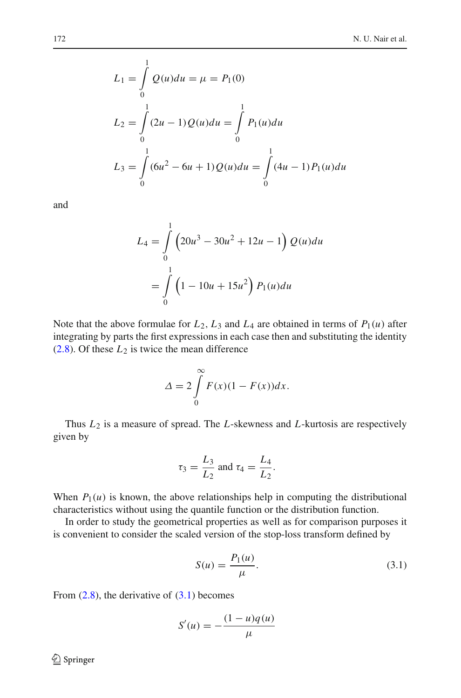$$
L_1 = \int_0^1 Q(u) du = \mu = P_1(0)
$$
  
\n
$$
L_2 = \int_0^1 (2u - 1) Q(u) du = \int_0^1 P_1(u) du
$$
  
\n
$$
L_3 = \int_0^1 (6u^2 - 6u + 1) Q(u) du = \int_0^1 (4u - 1) P_1(u) du
$$

and

$$
L_4 = \int_0^1 \left(20u^3 - 30u^2 + 12u - 1\right) Q(u) du
$$
  
= 
$$
\int_0^1 \left(1 - 10u + 15u^2\right) P_1(u) du
$$

Note that the above formulae for  $L_2$ ,  $L_3$  and  $L_4$  are obtained in terms of  $P_1(u)$  after integrating by parts the first expressions in each case then and substituting the identity  $(2.8)$ . Of these  $L_2$  is twice the mean difference

$$
\Delta = 2 \int_{0}^{\infty} F(x)(1 - F(x))dx.
$$

Thus *L*<sup>2</sup> is a measure of spread. The *L*-skewness and *L*-kurtosis are respectively given by

$$
\tau_3 = \frac{L_3}{L_2}
$$
 and  $\tau_4 = \frac{L_4}{L_2}$ .

When  $P_1(u)$  is known, the above relationships help in computing the distributional characteristics without using the quantile function or the distribution function.

In order to study the geometrical properties as well as for comparison purposes it is convenient to consider the scaled version of the stop-loss transform defined by

$$
S(u) = \frac{P_1(u)}{\mu}.
$$
 (3.1)

<span id="page-5-0"></span>From  $(2.8)$ , the derivative of  $(3.1)$  becomes

$$
S'(u) = -\frac{(1-u)q(u)}{\mu}
$$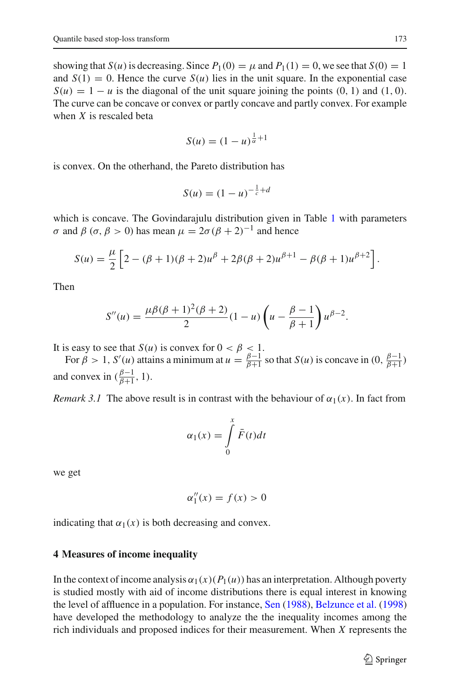showing that  $S(u)$  is decreasing. Since  $P_1(0) = \mu$  and  $P_1(1) = 0$ , we see that  $S(0) = 1$ and  $S(1) = 0$ . Hence the curve  $S(u)$  lies in the unit square. In the exponential case  $S(u) = 1 - u$  is the diagonal of the unit square joining the points (0, 1) and (1, 0). The curve can be concave or convex or partly concave and partly convex. For example when *X* is rescaled beta

$$
S(u) = (1 - u)^{\frac{1}{\alpha} + 1}
$$

is convex. On the otherhand, the Pareto distribution has

$$
S(u) = (1 - u)^{-\frac{1}{c} + d}
$$

which is concave. The Govindarajulu distribution given in Table [1](#page-4-1) with parameters σ and β (σ, β > 0) has mean  $\mu = 2\sigma(\beta + 2)^{-1}$  and hence

$$
S(u) = \frac{\mu}{2} \left[ 2 - (\beta + 1)(\beta + 2)u^{\beta} + 2\beta(\beta + 2)u^{\beta+1} - \beta(\beta + 1)u^{\beta+2} \right].
$$

Then

$$
S''(u) = \frac{\mu \beta (\beta + 1)^2 (\beta + 2)}{2} (1 - u) \left( u - \frac{\beta - 1}{\beta + 1} \right) u^{\beta - 2}.
$$

It is easy to see that  $S(u)$  is convex for  $0 < \beta < 1$ .

For  $\beta > 1$ ,  $S'(u)$  attains a minimum at  $u = \frac{\beta - 1}{\beta + 1}$  so that  $S(u)$  is concave in  $(0, \frac{\beta - 1}{\beta + 1})$ and convex in  $(\frac{\beta-1}{\beta+1}, 1)$ .

*Remark 3.1* The above result is in contrast with the behaviour of  $\alpha_1(x)$ . In fact from

$$
\alpha_1(x) = \int\limits_0^x \bar{F}(t)dt
$$

we get

$$
\alpha_1''(x) = f(x) > 0
$$

indicating that  $\alpha_1(x)$  is both decreasing and convex.

### <span id="page-6-0"></span>**4 Measures of income inequality**

In the context of income analysis  $\alpha_1(x)(P_1(u))$  has an interpretation. Although poverty is studied mostly with aid of income distributions there is equal interest in knowing the level of affluence in a population. For instance, [Sen](#page-15-10) [\(1988\)](#page-15-10), [Belzunce et al.](#page-14-3) [\(1998\)](#page-14-3) have developed the methodology to analyze the the inequality incomes among the rich individuals and proposed indices for their measurement. When *X* represents the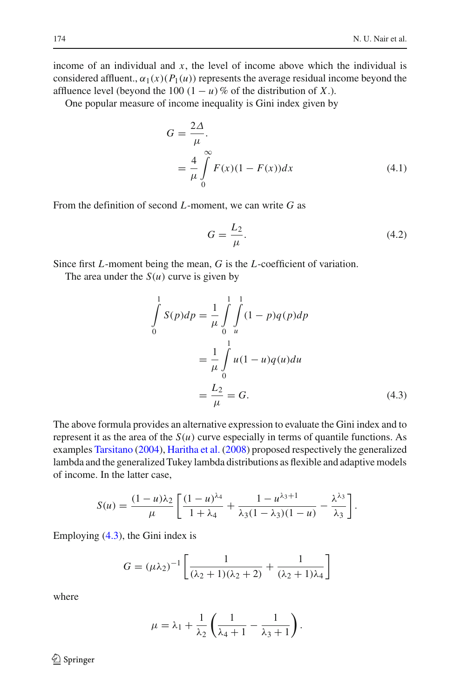income of an individual and *x*, the level of income above which the individual is considered affluent.,  $\alpha_1(x)(P_1(u))$  represents the average residual income beyond the affluence level (beyond the 100  $(1 - u)$ % of the distribution of *X*.).

One popular measure of income inequality is Gini index given by

$$
G = \frac{2\Delta}{\mu}.
$$
  
= 
$$
\frac{4}{\mu} \int_{0}^{\infty} F(x)(1 - F(x))dx
$$
 (4.1)

From the definition of second *L*-moment, we can write *G* as

$$
G = \frac{L_2}{\mu}.\tag{4.2}
$$

Since first *L*-moment being the mean, *G* is the *L*-coefficient of variation.

The area under the  $S(u)$  curve is given by

<span id="page-7-0"></span>
$$
\int_{0}^{1} S(p)dp = \frac{1}{\mu} \int_{0}^{1} \int_{u}^{1} (1-p)q(p)dp
$$

$$
= \frac{1}{\mu} \int_{0}^{1} u(1-u)q(u)du
$$

$$
= \frac{L_{2}}{\mu} = G.
$$
(4.3)

The above formula provides an alternative expression to evaluate the Gini index and to represent it as the area of the  $S(u)$  curve especially in terms of quantile functions. As examples [Tarsitano](#page-15-11) [\(2004\)](#page-15-11), [Haritha et al.](#page-15-12) [\(2008](#page-15-12)) proposed respectively the generalized lambda and the generalized Tukey lambda distributions as flexible and adaptive models of income. In the latter case,

$$
S(u) = \frac{(1-u)\lambda_2}{\mu} \left[ \frac{(1-u)^{\lambda_4}}{1+\lambda_4} + \frac{1-u^{\lambda_3+1}}{\lambda_3(1-\lambda_3)(1-u)} - \frac{\lambda^{\lambda_3}}{\lambda_3} \right].
$$

Employing [\(4.3\)](#page-7-0), the Gini index is

$$
G = (\mu \lambda_2)^{-1} \left[ \frac{1}{(\lambda_2 + 1)(\lambda_2 + 2)} + \frac{1}{(\lambda_2 + 1)\lambda_4} \right]
$$

where

$$
\mu = \lambda_1 + \frac{1}{\lambda_2} \left( \frac{1}{\lambda_4 + 1} - \frac{1}{\lambda_3 + 1} \right).
$$

 $\bigcircled{2}$  Springer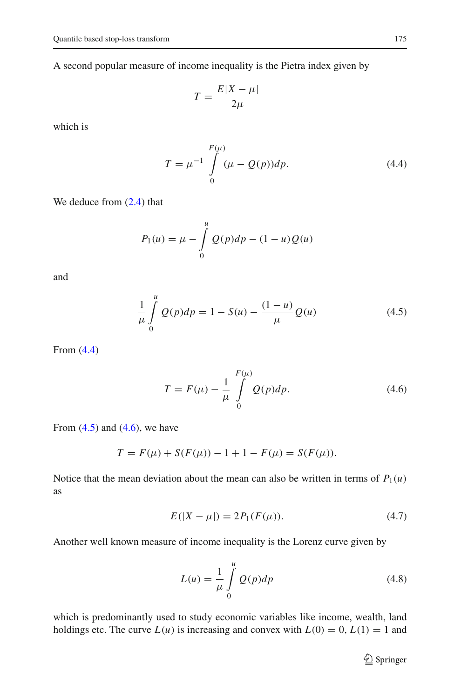A second popular measure of income inequality is the Pietra index given by

$$
T = \frac{E|X - \mu|}{2\mu}
$$

<span id="page-8-0"></span>which is

$$
T = \mu^{-1} \int_{0}^{F(\mu)} (\mu - Q(p)) dp.
$$
 (4.4)

We deduce from  $(2.4)$  that

$$
P_1(u) = \mu - \int_{0}^{u} Q(p) dp - (1 - u) Q(u)
$$

<span id="page-8-1"></span>and

$$
\frac{1}{\mu} \int_{0}^{u} Q(p) dp = 1 - S(u) - \frac{(1 - u)}{\mu} Q(u)
$$
\n(4.5)

<span id="page-8-2"></span>From [\(4.4\)](#page-8-0)

$$
T = F(\mu) - \frac{1}{\mu} \int_{0}^{F(\mu)} Q(p) dp.
$$
 (4.6)

From  $(4.5)$  and  $(4.6)$ , we have

$$
T = F(\mu) + S(F(\mu)) - 1 + 1 - F(\mu) = S(F(\mu)).
$$

Notice that the mean deviation about the mean can also be written in terms of  $P_1(u)$ as

$$
E(|X - \mu|) = 2P_1(F(\mu)).
$$
\n(4.7)

<span id="page-8-3"></span>Another well known measure of income inequality is the Lorenz curve given by

$$
L(u) = \frac{1}{\mu} \int_{0}^{u} Q(p) dp
$$
\n(4.8)

which is predominantly used to study economic variables like income, wealth, land holdings etc. The curve  $L(u)$  is increasing and convex with  $L(0) = 0, L(1) = 1$  and

 $\mathcal{D}$  Springer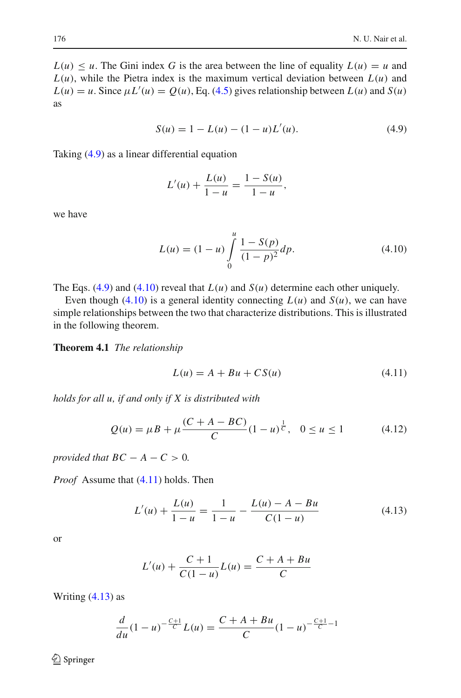$L(u) \leq u$ . The Gini index G is the area between the line of equality  $L(u) = u$  and  $L(u)$ , while the Pietra index is the maximum vertical deviation between  $L(u)$  and  $L(u) = u$ . Since  $\mu L'(u) = Q(u)$ , Eq. [\(4.5\)](#page-8-1) gives relationship between  $L(u)$  and  $S(u)$ as

$$
S(u) = 1 - L(u) - (1 - u)L'(u). \tag{4.9}
$$

<span id="page-9-0"></span>Taking [\(4.9\)](#page-9-0) as a linear differential equation

$$
L'(u) + \frac{L(u)}{1-u} = \frac{1-S(u)}{1-u},
$$

<span id="page-9-1"></span>we have

$$
L(u) = (1 - u) \int_{0}^{u} \frac{1 - S(p)}{(1 - p)^2} dp.
$$
 (4.10)

The Eqs. [\(4.9\)](#page-9-0) and [\(4.10\)](#page-9-1) reveal that  $L(u)$  and  $S(u)$  determine each other uniquely.

Even though [\(4.10\)](#page-9-1) is a general identity connecting  $L(u)$  and  $S(u)$ , we can have simple relationships between the two that characterize distributions. This is illustrated in the following theorem.

<span id="page-9-2"></span>**Theorem 4.1** *The relationship*

$$
L(u) = A + Bu + CS(u)
$$
\n
$$
(4.11)
$$

*holds for all u, if and only if X is distributed with*

$$
Q(u) = \mu B + \mu \frac{(C + A - BC)}{C} (1 - u)^{\frac{1}{C}}, \quad 0 \le u \le 1
$$
 (4.12)

*provided that*  $BC - A - C > 0$ *.* 

<span id="page-9-3"></span>*Proof* Assume that [\(4.11\)](#page-9-2) holds. Then

$$
L'(u) + \frac{L(u)}{1 - u} = \frac{1}{1 - u} - \frac{L(u) - A - Bu}{C(1 - u)}
$$
(4.13)

or

$$
L'(u) + \frac{C+1}{C(1-u)}L(u) = \frac{C+A+Bu}{C}
$$

Writing  $(4.13)$  as

$$
\frac{d}{du}(1-u)^{-\frac{C+1}{C}}L(u) = \frac{C+A+Bu}{C}(1-u)^{-\frac{C+1}{C}-1}
$$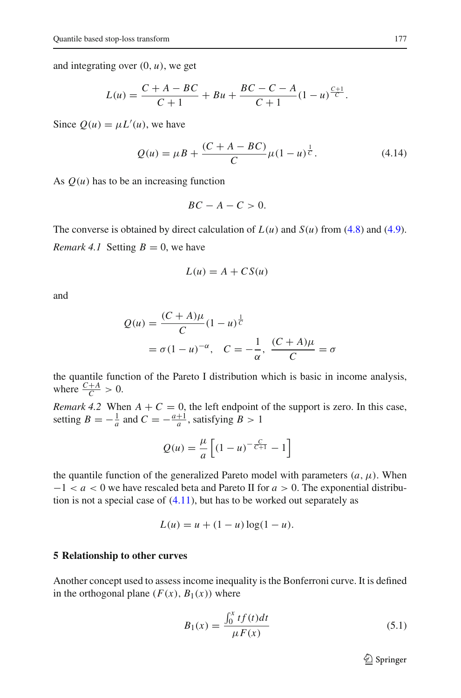and integrating over  $(0, u)$ , we get

$$
L(u) = \frac{C + A - BC}{C + 1} + Bu + \frac{BC - C - A}{C + 1} (1 - u)^{\frac{C + 1}{C}}.
$$

Since  $Q(u) = \mu L'(u)$ , we have

$$
Q(u) = \mu B + \frac{(C + A - BC)}{C} \mu (1 - u)^{\frac{1}{C}}.
$$
 (4.14)

As  $Q(u)$  has to be an increasing function

$$
BC-A-C>0.
$$

The converse is obtained by direct calculation of  $L(u)$  and  $S(u)$  from [\(4.8\)](#page-8-3) and [\(4.9\)](#page-9-0). *Remark 4.1* Setting  $B = 0$ , we have

$$
L(u) = A + CS(u)
$$

and

$$
Q(u) = \frac{(C+A)\mu}{C}(1-u)^{\frac{1}{C}}
$$
  
=  $\sigma(1-u)^{-\alpha}$ ,  $C = -\frac{1}{\alpha}$ ,  $\frac{(C+A)\mu}{C} = \sigma$ 

the quantile function of the Pareto I distribution which is basic in income analysis, where  $\frac{C+A}{C} > 0$ .

*Remark 4.2* When  $A + C = 0$ , the left endpoint of the support is zero. In this case, setting  $B = -\frac{1}{a}$  and  $C = -\frac{a+1}{a}$ , satisfying  $B > 1$ 

$$
Q(u) = \frac{\mu}{a} \left[ (1 - u)^{-\frac{C}{C+1}} - 1 \right]
$$

the quantile function of the generalized Pareto model with parameters  $(a, \mu)$ . When −1 < *a* < 0 we have rescaled beta and Pareto II for *a* > 0. The exponential distribution is not a special case of  $(4.11)$ , but has to be worked out separately as

$$
L(u) = u + (1 - u) \log(1 - u).
$$

#### <span id="page-10-0"></span>**5 Relationship to other curves**

<span id="page-10-1"></span>Another concept used to assess income inequality is the Bonferroni curve. It is defined in the orthogonal plane  $(F(x), B_1(x))$  where

$$
B_1(x) = \frac{\int_0^x t f(t) dt}{\mu F(x)}
$$
(5.1)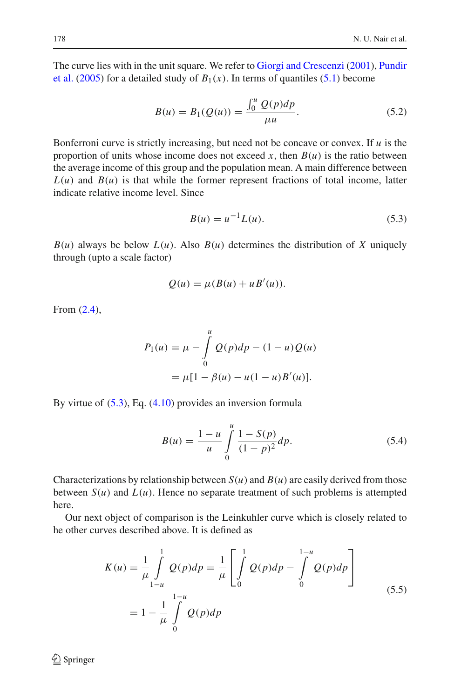The [curve](#page-15-14) [lies](#page-15-14) [with](#page-15-14) [in](#page-15-14) [the](#page-15-14) [unit](#page-15-14) [square.](#page-15-14) [We](#page-15-14) [refer](#page-15-14) [to](#page-15-14) [Giorgi and Crescenzi](#page-15-13) [\(2001\)](#page-15-13), Pundir et al. [\(2005\)](#page-15-14) for a detailed study of  $B_1(x)$ . In terms of quantiles [\(5.1\)](#page-10-1) become

$$
B(u) = B_1(Q(u)) = \frac{\int_0^u Q(p) dp}{\mu u}.
$$
 (5.2)

Bonferroni curve is strictly increasing, but need not be concave or convex. If *u* is the proportion of units whose income does not exceed  $x$ , then  $B(u)$  is the ratio between the average income of this group and the population mean. A main difference between  $L(u)$  and  $B(u)$  is that while the former represent fractions of total income, latter indicate relative income level. Since

$$
B(u) = u^{-1}L(u).
$$
 (5.3)

<span id="page-11-0"></span> $B(u)$  always be below  $L(u)$ . Also  $B(u)$  determines the distribution of *X* uniquely through (upto a scale factor)

$$
Q(u) = \mu(B(u) + u^2(u)).
$$

From [\(2.4\)](#page-2-0),

$$
P_1(u) = \mu - \int_0^u Q(p)dp - (1 - u)Q(u)
$$
  
=  $\mu[1 - \beta(u) - u(1 - u)B'(u)].$ 

By virtue of [\(5.3\)](#page-11-0), Eq. [\(4.10\)](#page-9-1) provides an inversion formula

$$
B(u) = \frac{1-u}{u} \int_{0}^{u} \frac{1-S(p)}{(1-p)^2} dp.
$$
 (5.4)

Characterizations by relationship between  $S(u)$  and  $B(u)$  are easily derived from those between  $S(u)$  and  $L(u)$ . Hence no separate treatment of such problems is attempted here.

Our next object of comparison is the Leinkuhler curve which is closely related to he other curves described above. It is defined as

$$
K(u) = \frac{1}{\mu} \int_{1-u}^{1} Q(p) dp = \frac{1}{\mu} \left[ \int_{0}^{1} Q(p) dp - \int_{0}^{1-u} Q(p) dp \right]
$$
  
=  $1 - \frac{1}{\mu} \int_{0}^{1-u} Q(p) dp$  (5.5)

 $\bigcircled{2}$  Springer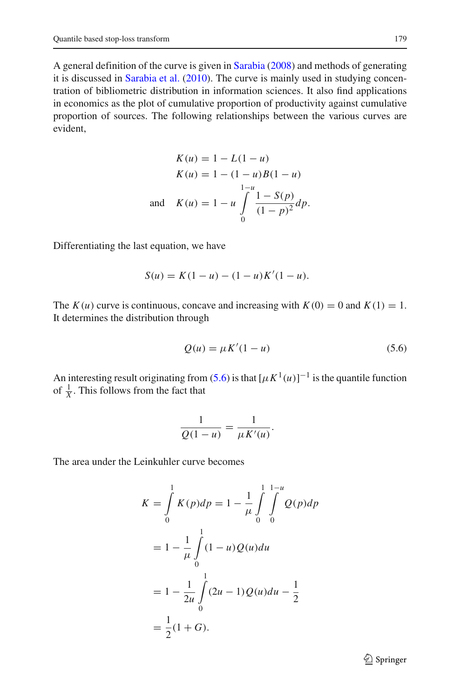A general definition of the curve is given in [Sarabia](#page-15-15) [\(2008](#page-15-15)) and methods of generating it is discussed in [Sarabia et al.](#page-15-16) [\(2010](#page-15-16)). The curve is mainly used in studying concentration of bibliometric distribution in information sciences. It also find applications in economics as the plot of cumulative proportion of productivity against cumulative proportion of sources. The following relationships between the various curves are evident,

$$
K(u) = 1 - L(1 - u)
$$
  
\n
$$
K(u) = 1 - (1 - u)B(1 - u)
$$
  
\n
$$
\lim_{h \to 0} K(u) = 1 - u \int_{0}^{1} \frac{1 - S(p)}{(1 - p)^2} dp.
$$

Differentiating the last equation, we have

$$
S(u) = K(1 - u) - (1 - u)K'(1 - u).
$$

The  $K(u)$  curve is continuous, concave and increasing with  $K(0) = 0$  and  $K(1) = 1$ . It determines the distribution through

$$
Q(u) = \mu K'(1 - u) \tag{5.6}
$$

<span id="page-12-0"></span>An interesting result originating from [\(5.6\)](#page-12-0) is that  $[\mu K^1(u)]^{-1}$  is the quantile function of  $\frac{1}{X}$ . This follows from the fact that

$$
\frac{1}{Q(1-u)} = \frac{1}{\mu K'(u)}.
$$

The area under the Leinkuhler curve becomes

$$
K = \int_{0}^{1} K(p)dp = 1 - \frac{1}{\mu} \int_{0}^{1} \int_{0}^{1-u} Q(p)dp
$$
  
=  $1 - \frac{1}{\mu} \int_{0}^{1} (1-u)Q(u)du$   
=  $1 - \frac{1}{2\mu} \int_{0}^{1} (2u - 1)Q(u)du - \frac{1}{2}$   
=  $\frac{1}{2}(1+G).$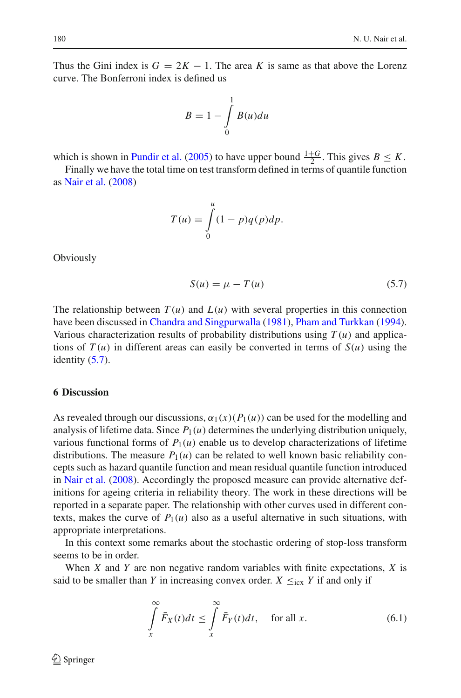Thus the Gini index is  $G = 2K - 1$ . The area K is same as that above the Lorenz curve. The Bonferroni index is defined us

$$
B = 1 - \int_{0}^{1} B(u) du
$$

which is shown in [Pundir et al.](#page-15-14) [\(2005](#page-15-14)) to have upper bound  $\frac{1+G}{2}$ . This gives  $B \leq K$ .

Finally we have the total time on test transform defined in terms of quantile function as [Nair et al.](#page-15-17) [\(2008\)](#page-15-17)

$$
T(u) = \int_{0}^{u} (1 - p)q(p)dp.
$$

<span id="page-13-1"></span>**Obviously** 

$$
S(u) = \mu - T(u) \tag{5.7}
$$

The relationship between  $T(u)$  and  $L(u)$  with several properties in this connection have been discussed in [Chandra and Singpurwalla](#page-14-4) [\(1981\)](#page-14-4), [Pham and Turkkan](#page-15-18) [\(1994](#page-15-18)). Various characterization results of probability distributions using  $T(u)$  and applications of  $T(u)$  in different areas can easily be converted in terms of  $S(u)$  using the identity  $(5.7)$ .

### <span id="page-13-0"></span>**6 Discussion**

As revealed through our discussions,  $\alpha_1(x)(P_1(u))$  can be used for the modelling and analysis of lifetime data. Since  $P_1(u)$  determines the underlying distribution uniquely, various functional forms of  $P_1(u)$  enable us to develop characterizations of lifetime distributions. The measure  $P_1(u)$  can be related to well known basic reliability concepts such as hazard quantile function and mean residual quantile function introduced in [Nair et al.](#page-15-17) [\(2008](#page-15-17)). Accordingly the proposed measure can provide alternative definitions for ageing criteria in reliability theory. The work in these directions will be reported in a separate paper. The relationship with other curves used in different contexts, makes the curve of  $P_1(u)$  also as a useful alternative in such situations, with appropriate interpretations.

In this context some remarks about the stochastic ordering of stop-loss transform seems to be in order.

When *X* and *Y* are non negative random variables with finite expectations, *X* is said to be smaller than *Y* in increasing convex order.  $X \leq_{\text{icx}} Y$  if and only if

$$
\int_{x}^{\infty} \bar{F}_X(t)dt \le \int_{x}^{\infty} \bar{F}_Y(t)dt, \quad \text{for all } x.
$$
 (6.1)

 $\circled{2}$  Springer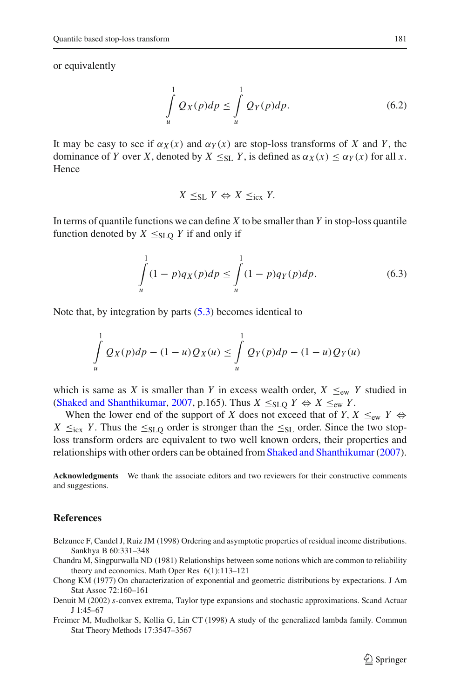or equivalently

$$
\int_{u}^{1} Q_X(p) dp \le \int_{u}^{1} Q_Y(p) dp.
$$
\n(6.2)

It may be easy to see if  $\alpha_Y(x)$  and  $\alpha_Y(x)$  are stop-loss transforms of X and Y, the dominance of *Y* over *X*, denoted by  $X \leq_{S} Y$ , is defined as  $\alpha_X(x) \leq \alpha_Y(x)$  for all *x*. Hence

$$
X \leq_{\text{SL}} Y \Leftrightarrow X \leq_{\text{icx}} Y.
$$

In terms of quantile functions we can define *X* to be smaller than *Y* in stop-loss quantile function denoted by  $X \leq SL_0 Y$  if and only if

$$
\int_{u}^{1} (1-p) q_X(p) dp \le \int_{u}^{1} (1-p) q_Y(p) dp.
$$
\n(6.3)

Note that, by integration by parts [\(5.3\)](#page-11-0) becomes identical to

$$
\int_{u}^{1} Q_X(p) dp - (1 - u) Q_X(u) \le \int_{u}^{1} Q_Y(p) dp - (1 - u) Q_Y(u)
$$

which is same as *X* is smaller than *Y* in excess wealth order,  $X \leq_{ew} Y$  studied in [\(Shaked and Shanthikumar,](#page-15-19) [2007](#page-15-19), p.165). Thus  $X \leq SL_0 Y \Leftrightarrow X \leq_{ew} Y$ .

When the lower end of the support of *X* does not exceed that of *Y*,  $X \leq_{ew} Y \Leftrightarrow$  $X \leq_{icx} Y$ . Thus the  $\leq_{SLQ}$  order is stronger than the  $\leq_{SLQ}$  order. Since the two stoploss transform orders are equivalent to two well known orders, their properties and relationships with other orders can be obtained from Shaked and Shanthikumar (2007).

**Acknowledgments** We thank the associate editors and two reviewers for their constructive comments and suggestions.

#### **References**

- <span id="page-14-3"></span>Belzunce F, Candel J, Ruiz JM (1998) Ordering and asymptotic properties of residual income distributions. Sankhya B 60:331–348
- <span id="page-14-4"></span>Chandra M, Singpurwalla ND (1981) Relationships between some notions which are common to reliability theory and economics. Math Oper Res 6(1):113–121
- <span id="page-14-1"></span>Chong KM (1977) On characterization of exponential and geometric distributions by expectations. J Am Stat Assoc 72:160–161
- <span id="page-14-0"></span>Denuit M (2002) *s*-convex extrema, Taylor type expansions and stochastic approximations. Scand Actuar J 1:45–67
- <span id="page-14-2"></span>Freimer M, Mudholkar S, Kollia G, Lin CT (1998) A study of the generalized lambda family. Commun Stat Theory Methods 17:3547–3567